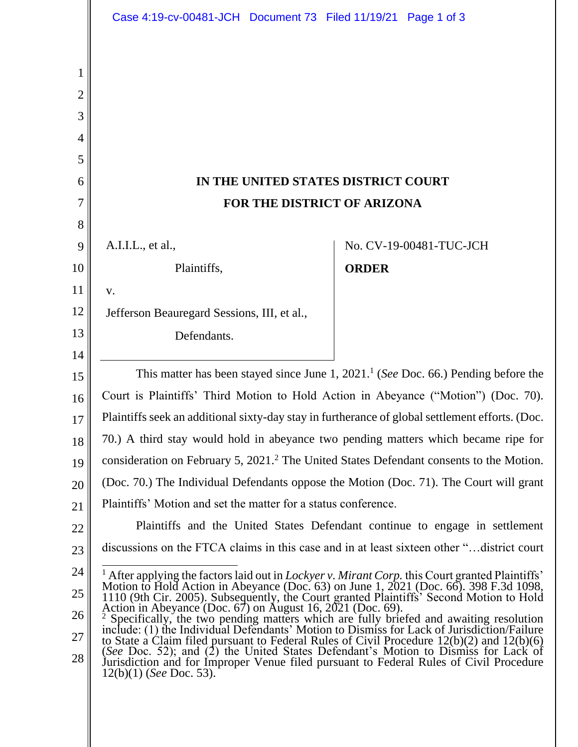|                            | Case 4:19-cv-00481-JCH Document 73 Filed 11/19/21 Page 1 of 3                                                                                                                                                                                                                                                                                                                                                                                                                                                                                                                                                                                                                                                                                  |                         |
|----------------------------|------------------------------------------------------------------------------------------------------------------------------------------------------------------------------------------------------------------------------------------------------------------------------------------------------------------------------------------------------------------------------------------------------------------------------------------------------------------------------------------------------------------------------------------------------------------------------------------------------------------------------------------------------------------------------------------------------------------------------------------------|-------------------------|
| 1<br>2<br>3<br>4<br>5<br>6 | IN THE UNITED STATES DISTRICT COURT                                                                                                                                                                                                                                                                                                                                                                                                                                                                                                                                                                                                                                                                                                            |                         |
| 7                          | FOR THE DISTRICT OF ARIZONA                                                                                                                                                                                                                                                                                                                                                                                                                                                                                                                                                                                                                                                                                                                    |                         |
| 8                          |                                                                                                                                                                                                                                                                                                                                                                                                                                                                                                                                                                                                                                                                                                                                                |                         |
| 9                          | A.I.I.L., et al.,                                                                                                                                                                                                                                                                                                                                                                                                                                                                                                                                                                                                                                                                                                                              | No. CV-19-00481-TUC-JCH |
| 10                         | Plaintiffs,                                                                                                                                                                                                                                                                                                                                                                                                                                                                                                                                                                                                                                                                                                                                    | <b>ORDER</b>            |
| 11                         | V.                                                                                                                                                                                                                                                                                                                                                                                                                                                                                                                                                                                                                                                                                                                                             |                         |
| 12                         | Jefferson Beauregard Sessions, III, et al.,                                                                                                                                                                                                                                                                                                                                                                                                                                                                                                                                                                                                                                                                                                    |                         |
| 13                         | Defendants.                                                                                                                                                                                                                                                                                                                                                                                                                                                                                                                                                                                                                                                                                                                                    |                         |
| 14                         |                                                                                                                                                                                                                                                                                                                                                                                                                                                                                                                                                                                                                                                                                                                                                |                         |
| 15                         | This matter has been stayed since June 1, $20211$ (See Doc. 66.) Pending before the                                                                                                                                                                                                                                                                                                                                                                                                                                                                                                                                                                                                                                                            |                         |
| 16                         | Court is Plaintiffs' Third Motion to Hold Action in Abeyance ("Motion") (Doc. 70).                                                                                                                                                                                                                                                                                                                                                                                                                                                                                                                                                                                                                                                             |                         |
| 17                         | Plaintiffs seek an additional sixty-day stay in furtherance of global settlement efforts. (Doc.                                                                                                                                                                                                                                                                                                                                                                                                                                                                                                                                                                                                                                                |                         |
| 18                         | 70.) A third stay would hold in abeyance two pending matters which became ripe for                                                                                                                                                                                                                                                                                                                                                                                                                                                                                                                                                                                                                                                             |                         |
| 19                         | consideration on February 5, 2021. <sup>2</sup> The United States Defendant consents to the Motion.                                                                                                                                                                                                                                                                                                                                                                                                                                                                                                                                                                                                                                            |                         |
| 20                         | (Doc. 70.) The Individual Defendants oppose the Motion (Doc. 71). The Court will grant                                                                                                                                                                                                                                                                                                                                                                                                                                                                                                                                                                                                                                                         |                         |
| 21                         | Plaintiffs' Motion and set the matter for a status conference.                                                                                                                                                                                                                                                                                                                                                                                                                                                                                                                                                                                                                                                                                 |                         |
| 22                         | Plaintiffs and the United States Defendant continue to engage in settlement                                                                                                                                                                                                                                                                                                                                                                                                                                                                                                                                                                                                                                                                    |                         |
| 23                         | discussions on the FTCA claims in this case and in at least sixteen other "district court                                                                                                                                                                                                                                                                                                                                                                                                                                                                                                                                                                                                                                                      |                         |
| 24                         | After applying the factors laid out in <i>Lockyer v. Mirant Corp</i> . this Court granted Plaintiffs'<br>Motion to Hold Action in Abeyance (Doc. 63) on June 1, 2021 (Doc. 66). 398 F.3d 1098, 1110 (9th Cir. 2005). Subsequently, the Court granted Plaintiffs' Second Motion to Hold<br>Action in Abeyance (Doc. 67) on August 16, 2021 (Doc. 69).<br><sup>2</sup> Specifically, the two pending matters which are fully briefed and awaiting resolution include: $(1)$ the Individual Defendants' Motion to Dismiss for Lack of Jurisdiction/Failure<br>to State a Claim filed pursuant to Federal Rules of Civil Procedure $12(b)(2)$ and $12(b)(6)$<br>(See Doc. 52); and (2) the United States Defendant's Motion to Dismiss for Lack of |                         |
| 25                         |                                                                                                                                                                                                                                                                                                                                                                                                                                                                                                                                                                                                                                                                                                                                                |                         |
| 26                         |                                                                                                                                                                                                                                                                                                                                                                                                                                                                                                                                                                                                                                                                                                                                                |                         |
| $27\,$                     |                                                                                                                                                                                                                                                                                                                                                                                                                                                                                                                                                                                                                                                                                                                                                |                         |
| 28                         | Jurisdiction and for Improper Venue filed pursuant to Federal Rules of Civil Procedure<br>$12(b)(1)$ ( <i>See Doc.</i> 53).                                                                                                                                                                                                                                                                                                                                                                                                                                                                                                                                                                                                                    |                         |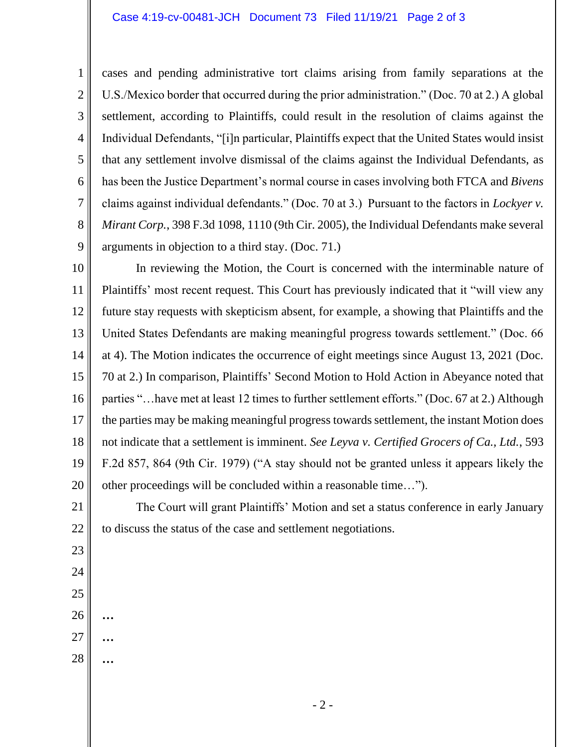cases and pending administrative tort claims arising from family separations at the U.S./Mexico border that occurred during the prior administration." (Doc. 70 at 2.) A global settlement, according to Plaintiffs, could result in the resolution of claims against the Individual Defendants, "[i]n particular, Plaintiffs expect that the United States would insist that any settlement involve dismissal of the claims against the Individual Defendants, as has been the Justice Department's normal course in cases involving both FTCA and *Bivens*  claims against individual defendants." (Doc. 70 at 3.) Pursuant to the factors in *Lockyer v. Mirant Corp.*, 398 F.3d 1098, 1110 (9th Cir. 2005), the Individual Defendants make several arguments in objection to a third stay. (Doc. 71.)

10 11 12 13 14 15 16 17 18 19 20 In reviewing the Motion, the Court is concerned with the interminable nature of Plaintiffs' most recent request. This Court has previously indicated that it "will view any future stay requests with skepticism absent, for example, a showing that Plaintiffs and the United States Defendants are making meaningful progress towards settlement." (Doc. 66 at 4). The Motion indicates the occurrence of eight meetings since August 13, 2021 (Doc. 70 at 2.) In comparison, Plaintiffs' Second Motion to Hold Action in Abeyance noted that parties "…have met at least 12 times to further settlement efforts." (Doc. 67 at 2.) Although the parties may be making meaningful progress towards settlement, the instant Motion does not indicate that a settlement is imminent. *See Leyva v. Certified Grocers of Ca., Ltd.*, 593 F.2d 857, 864 (9th Cir. 1979) ("A stay should not be granted unless it appears likely the other proceedings will be concluded within a reasonable time…").

21 22 The Court will grant Plaintiffs' Motion and set a status conference in early January to discuss the status of the case and settlement negotiations.

23 24

1

2

3

4

5

6

7

8

9

- 25
- 
- 26

**…**

**…**

**…**

- 27
- 28